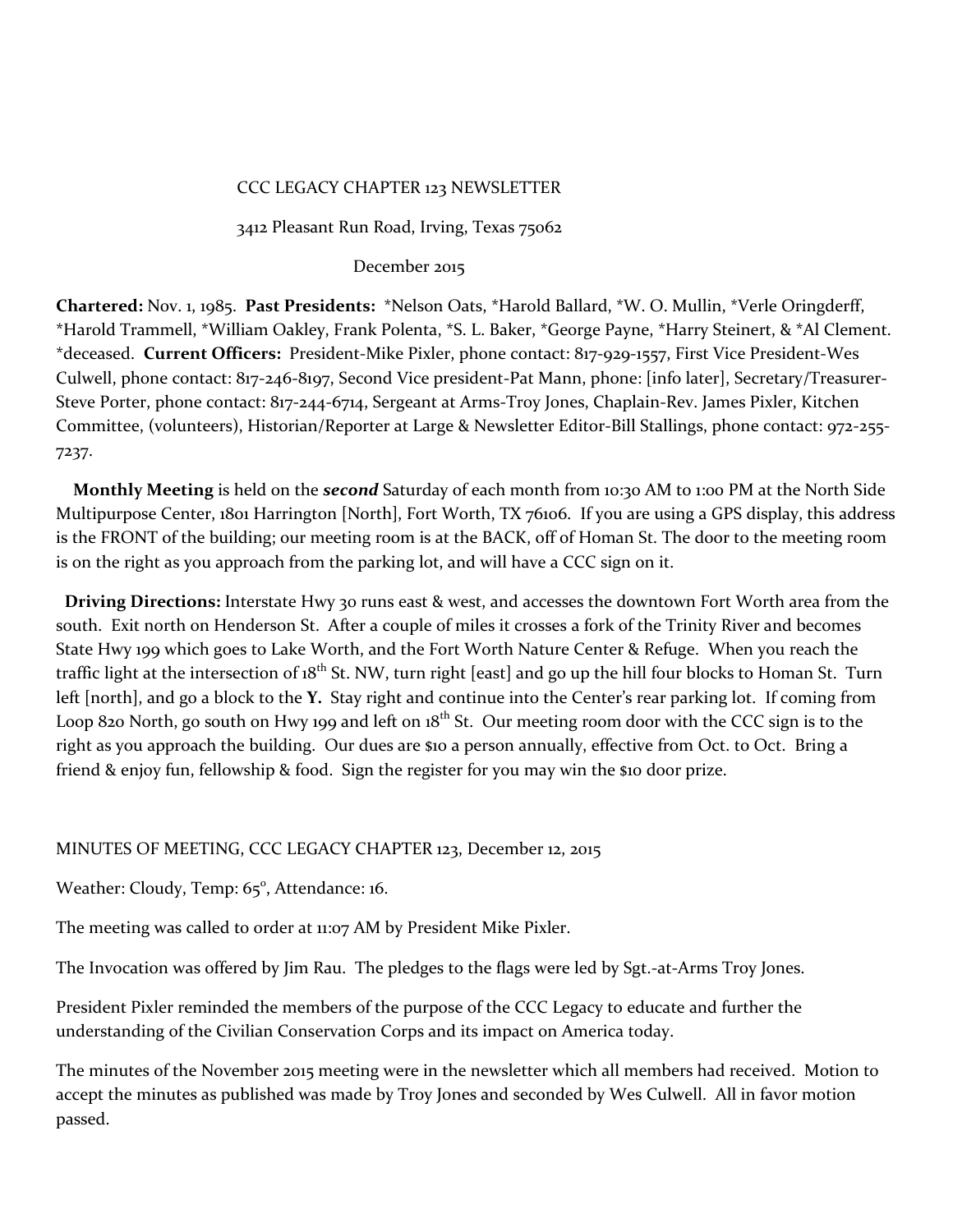## CCC LEGACY CHAPTER 123 NEWSLETTER

3412 Pleasant Run Road, Irving, Texas 75062

### December 2015

**Chartered:** Nov. 1, 1985. **Past Presidents:** \*Nelson Oats, \*Harold Ballard, \*W. O. Mullin, \*Verle Oringderff, \*Harold Trammell, \*William Oakley, Frank Polenta, \*S. L. Baker, \*George Payne, \*Harry Steinert, & \*Al Clement. \*deceased. **Current Officers:** President-Mike Pixler, phone contact: 817-929-1557, First Vice President-Wes Culwell, phone contact: 817-246-8197, Second Vice president-Pat Mann, phone: [info later], Secretary/Treasurer-Steve Porter, phone contact: 817-244-6714, Sergeant at Arms-Troy Jones, Chaplain-Rev. James Pixler, Kitchen Committee, (volunteers), Historian/Reporter at Large & Newsletter Editor-Bill Stallings, phone contact: 972-255- 7237.

 **Monthly Meeting** is held on the *second* Saturday of each month from 10:30 AM to 1:00 PM at the North Side Multipurpose Center, 1801 Harrington [North], Fort Worth, TX 76106. If you are using a GPS display, this address is the FRONT of the building; our meeting room is at the BACK, off of Homan St. The door to the meeting room is on the right as you approach from the parking lot, and will have a CCC sign on it.

 **Driving Directions:** Interstate Hwy 30 runs east & west, and accesses the downtown Fort Worth area from the south. Exit north on Henderson St. After a couple of miles it crosses a fork of the Trinity River and becomes State Hwy 199 which goes to Lake Worth, and the Fort Worth Nature Center & Refuge. When you reach the traffic light at the intersection of 18<sup>th</sup> St. NW, turn right [east] and go up the hill four blocks to Homan St. Turn left [north], and go a block to the **Y.** Stay right and continue into the Center's rear parking lot. If coming from Loop 820 North, go south on Hwy 199 and left on  $18^{th}$  St. Our meeting room door with the CCC sign is to the right as you approach the building. Our dues are \$10 a person annually, effective from Oct. to Oct. Bring a friend & enjoy fun, fellowship & food. Sign the register for you may win the \$10 door prize.

## MINUTES OF MEETING, CCC LEGACY CHAPTER 123, December 12, 2015

Weather: Cloudy, Temp: 65°, Attendance: 16.

The meeting was called to order at 11:07 AM by President Mike Pixler.

The Invocation was offered by Jim Rau. The pledges to the flags were led by Sgt.-at-Arms Troy Jones.

President Pixler reminded the members of the purpose of the CCC Legacy to educate and further the understanding of the Civilian Conservation Corps and its impact on America today.

The minutes of the November 2015 meeting were in the newsletter which all members had received. Motion to accept the minutes as published was made by Troy Jones and seconded by Wes Culwell. All in favor motion passed.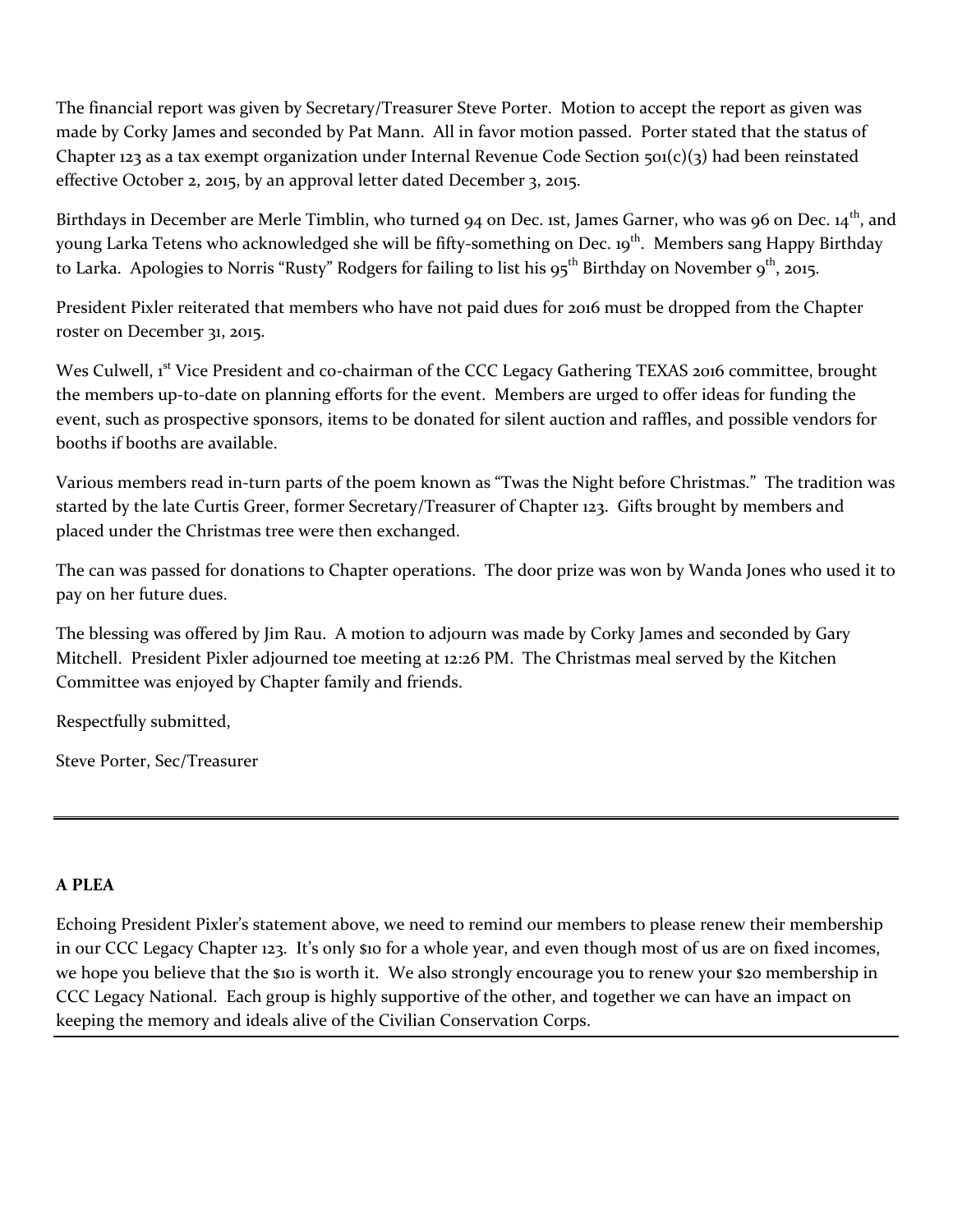The financial report was given by Secretary/Treasurer Steve Porter. Motion to accept the report as given was made by Corky James and seconded by Pat Mann. All in favor motion passed. Porter stated that the status of Chapter 123 as a tax exempt organization under Internal Revenue Code Section  $\pi o_1(c)(3)$  had been reinstated effective October 2, 2015, by an approval letter dated December 3, 2015.

Birthdays in December are Merle Timblin, who turned 94 on Dec. 1st, James Garner, who was 96 on Dec. 14<sup>th</sup>, and young Larka Tetens who acknowledged she will be fifty-something on Dec. 19<sup>th</sup>. Members sang Happy Birthday to Larka. Apologies to Norris "Rusty" Rodgers for failing to list his  $95^{th}$  Birthday on November  $9^{th}$ , 2015.

President Pixler reiterated that members who have not paid dues for 2016 must be dropped from the Chapter roster on December 31, 2015.

Wes Culwell, 1<sup>st</sup> Vice President and co-chairman of the CCC Legacy Gathering TEXAS 2016 committee, brought the members up-to-date on planning efforts for the event. Members are urged to offer ideas for funding the event, such as prospective sponsors, items to be donated for silent auction and raffles, and possible vendors for booths if booths are available.

Various members read in-turn parts of the poem known as "Twas the Night before Christmas." The tradition was started by the late Curtis Greer, former Secretary/Treasurer of Chapter 123. Gifts brought by members and placed under the Christmas tree were then exchanged.

The can was passed for donations to Chapter operations. The door prize was won by Wanda Jones who used it to pay on her future dues.

The blessing was offered by Jim Rau. A motion to adjourn was made by Corky James and seconded by Gary Mitchell. President Pixler adjourned toe meeting at 12:26 PM. The Christmas meal served by the Kitchen Committee was enjoyed by Chapter family and friends.

Respectfully submitted,

Steve Porter, Sec/Treasurer

# **A PLEA**

Echoing President Pixler's statement above, we need to remind our members to please renew their membership in our CCC Legacy Chapter 123. It's only \$10 for a whole year, and even though most of us are on fixed incomes, we hope you believe that the \$10 is worth it. We also strongly encourage you to renew your \$20 membership in CCC Legacy National. Each group is highly supportive of the other, and together we can have an impact on keeping the memory and ideals alive of the Civilian Conservation Corps.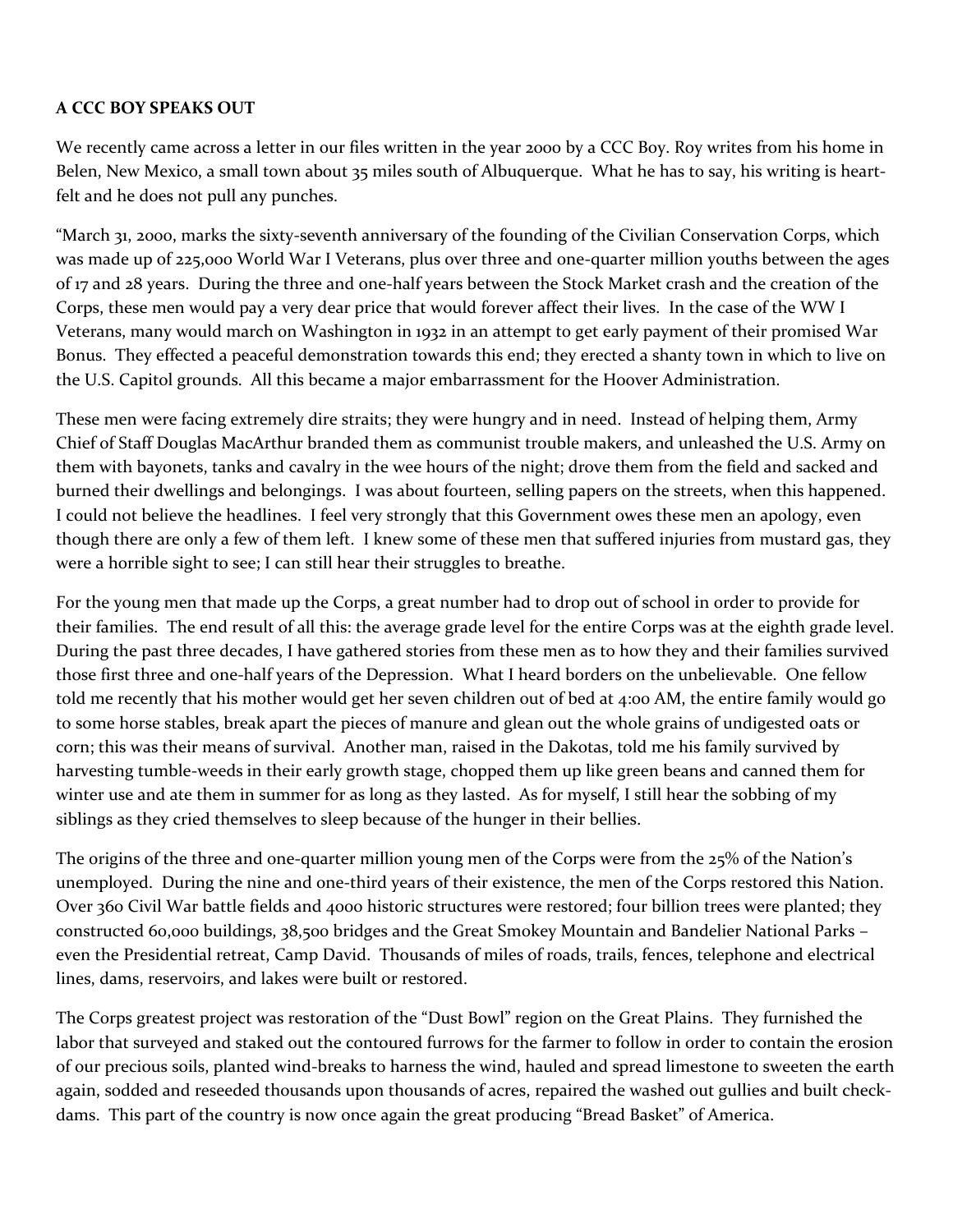# **A CCC BOY SPEAKS OUT**

We recently came across a letter in our files written in the year 2000 by a CCC Boy. Roy writes from his home in Belen, New Mexico, a small town about 35 miles south of Albuquerque. What he has to say, his writing is heartfelt and he does not pull any punches.

"March 31, 2000, marks the sixty-seventh anniversary of the founding of the Civilian Conservation Corps, which was made up of 225,000 World War I Veterans, plus over three and one-quarter million youths between the ages of 17 and 28 years. During the three and one-half years between the Stock Market crash and the creation of the Corps, these men would pay a very dear price that would forever affect their lives. In the case of the WW I Veterans, many would march on Washington in 1932 in an attempt to get early payment of their promised War Bonus. They effected a peaceful demonstration towards this end; they erected a shanty town in which to live on the U.S. Capitol grounds. All this became a major embarrassment for the Hoover Administration.

These men were facing extremely dire straits; they were hungry and in need. Instead of helping them, Army Chief of Staff Douglas MacArthur branded them as communist trouble makers, and unleashed the U.S. Army on them with bayonets, tanks and cavalry in the wee hours of the night; drove them from the field and sacked and burned their dwellings and belongings. I was about fourteen, selling papers on the streets, when this happened. I could not believe the headlines. I feel very strongly that this Government owes these men an apology, even though there are only a few of them left. I knew some of these men that suffered injuries from mustard gas, they were a horrible sight to see; I can still hear their struggles to breathe.

For the young men that made up the Corps, a great number had to drop out of school in order to provide for their families. The end result of all this: the average grade level for the entire Corps was at the eighth grade level. During the past three decades, I have gathered stories from these men as to how they and their families survived those first three and one-half years of the Depression. What I heard borders on the unbelievable. One fellow told me recently that his mother would get her seven children out of bed at 4:00 AM, the entire family would go to some horse stables, break apart the pieces of manure and glean out the whole grains of undigested oats or corn; this was their means of survival. Another man, raised in the Dakotas, told me his family survived by harvesting tumble-weeds in their early growth stage, chopped them up like green beans and canned them for winter use and ate them in summer for as long as they lasted. As for myself, I still hear the sobbing of my siblings as they cried themselves to sleep because of the hunger in their bellies.

The origins of the three and one-quarter million young men of the Corps were from the 25% of the Nation's unemployed. During the nine and one-third years of their existence, the men of the Corps restored this Nation. Over 360 Civil War battle fields and 4000 historic structures were restored; four billion trees were planted; they constructed 60,000 buildings, 38,500 bridges and the Great Smokey Mountain and Bandelier National Parks – even the Presidential retreat, Camp David. Thousands of miles of roads, trails, fences, telephone and electrical lines, dams, reservoirs, and lakes were built or restored.

The Corps greatest project was restoration of the "Dust Bowl" region on the Great Plains. They furnished the labor that surveyed and staked out the contoured furrows for the farmer to follow in order to contain the erosion of our precious soils, planted wind-breaks to harness the wind, hauled and spread limestone to sweeten the earth again, sodded and reseeded thousands upon thousands of acres, repaired the washed out gullies and built checkdams. This part of the country is now once again the great producing "Bread Basket" of America.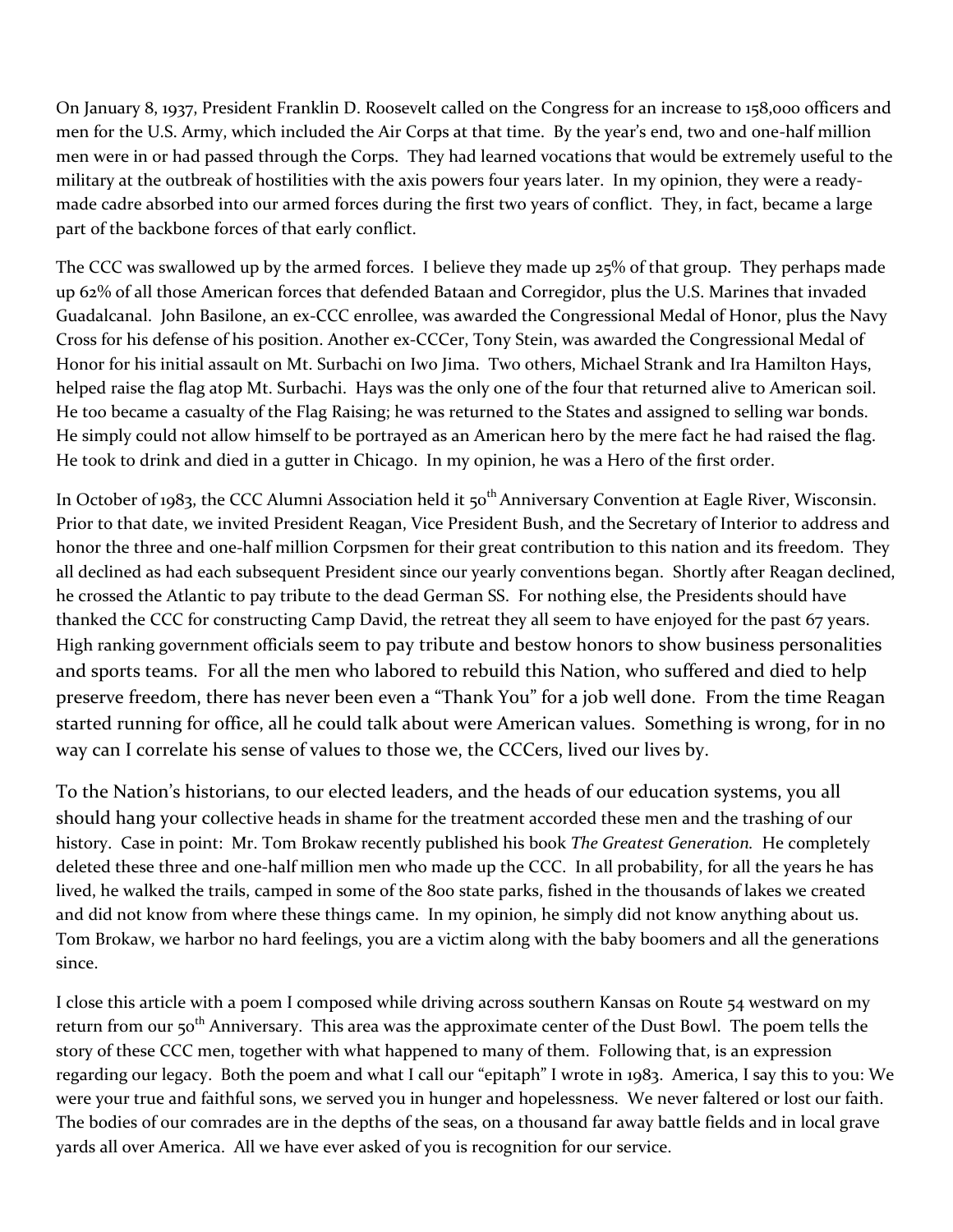On January 8, 1937, President Franklin D. Roosevelt called on the Congress for an increase to 158,000 officers and men for the U.S. Army, which included the Air Corps at that time. By the year's end, two and one-half million men were in or had passed through the Corps. They had learned vocations that would be extremely useful to the military at the outbreak of hostilities with the axis powers four years later. In my opinion, they were a readymade cadre absorbed into our armed forces during the first two years of conflict. They, in fact, became a large part of the backbone forces of that early conflict.

The CCC was swallowed up by the armed forces. I believe they made up 25% of that group. They perhaps made up 62% of all those American forces that defended Bataan and Corregidor, plus the U.S. Marines that invaded Guadalcanal. John Basilone, an ex-CCC enrollee, was awarded the Congressional Medal of Honor, plus the Navy Cross for his defense of his position. Another ex-CCCer, Tony Stein, was awarded the Congressional Medal of Honor for his initial assault on Mt. Surbachi on Iwo Jima. Two others, Michael Strank and Ira Hamilton Hays, helped raise the flag atop Mt. Surbachi. Hays was the only one of the four that returned alive to American soil. He too became a casualty of the Flag Raising; he was returned to the States and assigned to selling war bonds. He simply could not allow himself to be portrayed as an American hero by the mere fact he had raised the flag. He took to drink and died in a gutter in Chicago. In my opinion, he was a Hero of the first order.

In October of 1983, the CCC Alumni Association held it 50<sup>th</sup> Anniversary Convention at Eagle River, Wisconsin. Prior to that date, we invited President Reagan, Vice President Bush, and the Secretary of Interior to address and honor the three and one-half million Corpsmen for their great contribution to this nation and its freedom. They all declined as had each subsequent President since our yearly conventions began. Shortly after Reagan declined, he crossed the Atlantic to pay tribute to the dead German SS. For nothing else, the Presidents should have thanked the CCC for constructing Camp David, the retreat they all seem to have enjoyed for the past 67 years. High ranking government officials seem to pay tribute and bestow honors to show business personalities and sports teams. For all the men who labored to rebuild this Nation, who suffered and died to help preserve freedom, there has never been even a "Thank You" for a job well done. From the time Reagan started running for office, all he could talk about were American values. Something is wrong, for in no way can I correlate his sense of values to those we, the CCCers, lived our lives by.

To the Nation's historians, to our elected leaders, and the heads of our education systems, you all should hang your collective heads in shame for the treatment accorded these men and the trashing of our history. Case in point: Mr. Tom Brokaw recently published his book *The Greatest Generation.* He completely deleted these three and one-half million men who made up the CCC. In all probability, for all the years he has lived, he walked the trails, camped in some of the 800 state parks, fished in the thousands of lakes we created and did not know from where these things came. In my opinion, he simply did not know anything about us. Tom Brokaw, we harbor no hard feelings, you are a victim along with the baby boomers and all the generations since.

I close this article with a poem I composed while driving across southern Kansas on Route 54 westward on my return from our 50<sup>th</sup> Anniversary. This area was the approximate center of the Dust Bowl. The poem tells the story of these CCC men, together with what happened to many of them. Following that, is an expression regarding our legacy. Both the poem and what I call our "epitaph" I wrote in 1983. America, I say this to you: We were your true and faithful sons, we served you in hunger and hopelessness. We never faltered or lost our faith. The bodies of our comrades are in the depths of the seas, on a thousand far away battle fields and in local grave yards all over America. All we have ever asked of you is recognition for our service.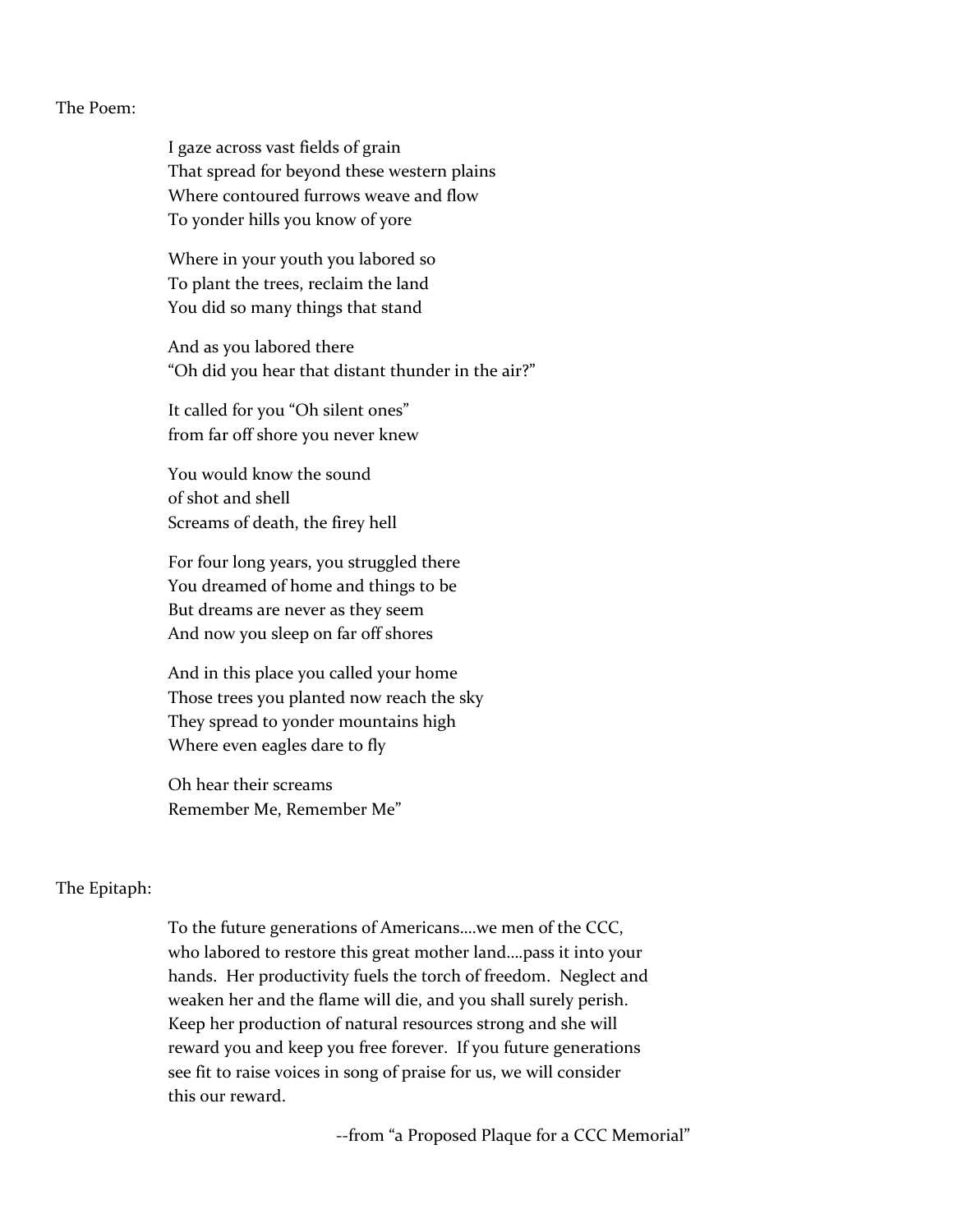#### The Poem:

I gaze across vast fields of grain That spread for beyond these western plains Where contoured furrows weave and flow To yonder hills you know of yore

Where in your youth you labored so To plant the trees, reclaim the land You did so many things that stand

And as you labored there "Oh did you hear that distant thunder in the air?"

It called for you "Oh silent ones" from far off shore you never knew

You would know the sound of shot and shell Screams of death, the firey hell

For four long years, you struggled there You dreamed of home and things to be But dreams are never as they seem And now you sleep on far off shores

And in this place you called your home Those trees you planted now reach the sky They spread to yonder mountains high Where even eagles dare to fly

Oh hear their screams Remember Me, Remember Me"

#### The Epitaph:

To the future generations of Americans….we men of the CCC, who labored to restore this great mother land….pass it into your hands. Her productivity fuels the torch of freedom. Neglect and weaken her and the flame will die, and you shall surely perish. Keep her production of natural resources strong and she will reward you and keep you free forever. If you future generations see fit to raise voices in song of praise for us, we will consider this our reward.

--from "a Proposed Plaque for a CCC Memorial"